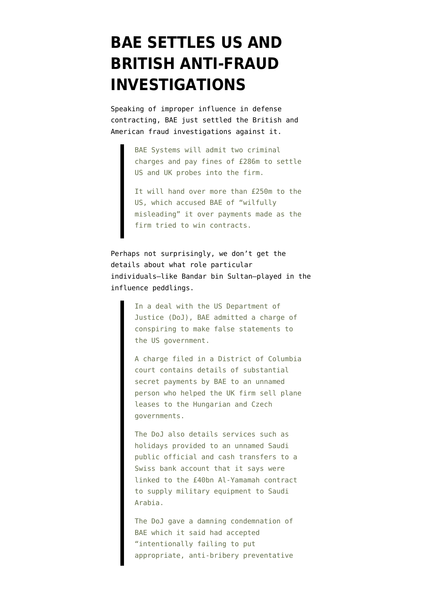## **[BAE SETTLES US AND](https://www.emptywheel.net/2010/02/05/bae-settles-us-and-british-anti-fraud-investigations/) [BRITISH ANTI-FRAUD](https://www.emptywheel.net/2010/02/05/bae-settles-us-and-british-anti-fraud-investigations/) [INVESTIGATIONS](https://www.emptywheel.net/2010/02/05/bae-settles-us-and-british-anti-fraud-investigations/)**

Speaking of improper influence in defense contracting, BAE just [settled](http://news.bbc.co.uk/2/hi/business/8500535.stm) the British and American fraud investigations against it.

> BAE Systems will admit two criminal charges and pay fines of £286m to settle US and UK probes into the firm.

> It will hand over more than £250m to the US, which accused BAE of "wilfully misleading" it over payments made as the firm tried to win contracts.

Perhaps not surprisingly, we don't get the details about what role particular individuals–like Bandar bin Sultan–played in the influence peddlings.

> In a deal with the US Department of Justice (DoJ), BAE admitted a charge of conspiring to make false statements to the US government.

A charge filed in a District of Columbia court contains details of substantial secret payments by BAE to an unnamed person who helped the UK firm sell plane leases to the Hungarian and Czech governments.

The DoJ also details services such as holidays provided to an unnamed Saudi public official and cash transfers to a Swiss bank account that it says were linked to the £40bn Al-Yamamah contract to supply military equipment to Saudi Arabia.

The DoJ gave a damning condemnation of BAE which it said had accepted "intentionally failing to put appropriate, anti-bribery preventative